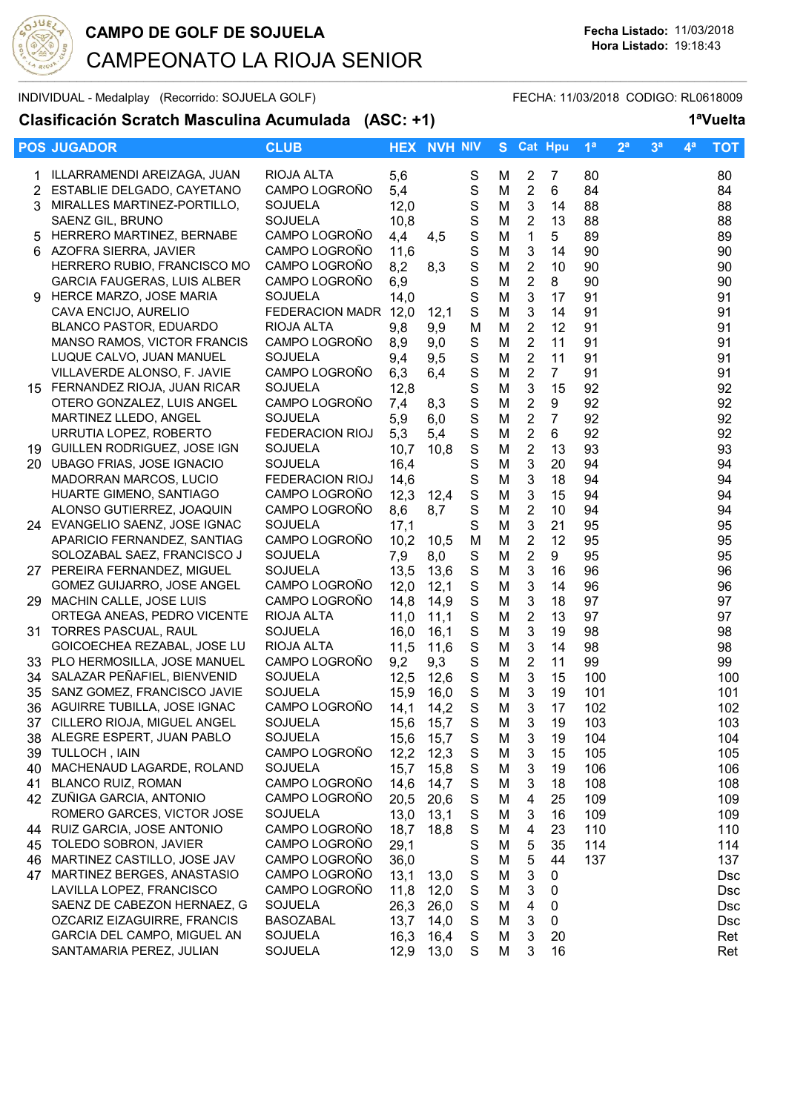

### INDIVIDUAL - Medalplay (Recorrido: SOJUELA GOLF) FECHA: 11/03/2018 CODIGO: RL0618009

**Clasificación Scratch Masculina Acumulada (ASC: +1) 1ªVuelta**

|                | <b>POS JUGADOR</b>                                     | <b>CLUB</b>                              |              | <b>HEX NVH NIV</b> |                  | S.     | <b>Cat Hpu</b>                            |                | 1 <sup>a</sup> | 2 <sup>a</sup> | 3 <sup>a</sup> | $4^a$ | <b>TOT</b> |
|----------------|--------------------------------------------------------|------------------------------------------|--------------|--------------------|------------------|--------|-------------------------------------------|----------------|----------------|----------------|----------------|-------|------------|
|                | ILLARRAMENDI AREIZAGA, JUAN                            | RIOJA ALTA                               | 5,6          |                    | $\mathbf S$      | М      | $\overline{2}$                            | $\overline{7}$ | 80             |                |                |       | 80         |
| $\overline{2}$ | ESTABLIE DELGADO, CAYETANO                             | CAMPO LOGROÑO                            | 5,4          |                    | $\mathbf S$      | M      | $\overline{2}$                            | 6              | 84             |                |                |       | 84         |
| 3.             | MIRALLES MARTINEZ-PORTILLO,                            | <b>SOJUELA</b>                           | 12,0         |                    | $\mathbf S$      | M      | $\sqrt{3}$                                | 14             | 88             |                |                |       | 88         |
|                | SAENZ GIL, BRUNO                                       | SOJUELA                                  | 10,8         |                    | ${\mathsf S}$    | M      | $\overline{2}$                            | 13             | 88             |                |                |       | 88         |
| 5              | HERRERO MARTINEZ, BERNABE                              | CAMPO LOGROÑO                            | 4,4          | 4,5                | $\mathbf S$      | M      | $\mathbf{1}$                              | 5              | 89             |                |                |       | 89         |
|                | 6 AZOFRA SIERRA, JAVIER                                | CAMPO LOGROÑO                            | 11,6         |                    | $\mathbf S$      | M      | $\mathbf{3}$                              | 14             | 90             |                |                |       | 90         |
|                | HERRERO RUBIO, FRANCISCO MO                            | CAMPO LOGROÑO                            | 8,2          | 8,3                | $\mathbf S$      | M      | $\boldsymbol{2}$                          | 10             | 90             |                |                |       | 90         |
|                | <b>GARCIA FAUGERAS, LUIS ALBER</b>                     | CAMPO LOGROÑO                            | 6,9          |                    | S                | M      | $\overline{2}$                            | 8              | 90             |                |                |       | 90         |
|                | 9 HERCE MARZO, JOSE MARIA                              | SOJUELA                                  | 14,0         |                    | $\mathbf S$      | M      | $\mathbf{3}$                              | 17             | 91             |                |                |       | 91         |
|                | CAVA ENCIJO, AURELIO                                   | FEDERACION MADR 12,0                     |              | 12,1               | S                | M      | 3                                         | 14             | 91             |                |                |       | 91         |
|                | <b>BLANCO PASTOR, EDUARDO</b>                          | RIOJA ALTA                               | 9,8          | 9,9                | M                | M      | $\overline{2}$                            | 12             | 91             |                |                |       | 91         |
|                | MANSO RAMOS, VICTOR FRANCIS                            | CAMPO LOGROÑO                            | 8,9          | 9,0                | S                | M      | $\overline{2}$                            | 11             | 91             |                |                |       | 91         |
|                | LUQUE CALVO, JUAN MANUEL                               | <b>SOJUELA</b>                           | 9,4          | 9,5                | $\mathbf S$      | M      | $\overline{2}$                            | 11             | 91             |                |                |       | 91         |
|                | VILLAVERDE ALONSO, F. JAVIE                            | CAMPO LOGROÑO                            | 6,3          | 6,4                | S                | M      | $\overline{2}$                            | $\overline{7}$ | 91             |                |                |       | 91         |
|                | 15 FERNANDEZ RIOJA, JUAN RICAR                         | SOJUELA                                  | 12,8         |                    | S                | M      | 3                                         | 15             | 92             |                |                |       | 92         |
|                | OTERO GONZALEZ, LUIS ANGEL                             | CAMPO LOGROÑO                            | 7,4          | 8,3                | $\mathbf S$      | M      | $\overline{2}$                            | 9              | 92             |                |                |       | 92         |
|                | MARTINEZ LLEDO, ANGEL                                  | SOJUELA                                  | 5,9          | 6,0                | $\mathbf S$      | M      | $\boldsymbol{2}$                          | $\overline{7}$ | 92             |                |                |       | 92         |
|                | URRUTIA LOPEZ, ROBERTO                                 | <b>FEDERACION RIOJ</b>                   | 5,3          | 5,4                | $\mathbf S$      | M      | $\overline{2}$                            | 6              | 92             |                |                |       | 92         |
|                | 19 GUILLEN RODRIGUEZ, JOSE IGN                         | <b>SOJUELA</b>                           | 10,7         | 10,8               | ${\mathsf S}$    | M      | $\sqrt{2}$                                | 13             | 93             |                |                |       | 93         |
|                | 20 UBAGO FRIAS, JOSE IGNACIO<br>MADORRAN MARCOS, LUCIO | <b>SOJUELA</b><br><b>FEDERACION RIOJ</b> | 16,4         |                    | $\mathbf S$      | M      | $\ensuremath{\mathsf{3}}$<br>$\mathbf{3}$ | 20             | 94<br>94       |                |                |       | 94         |
|                | HUARTE GIMENO, SANTIAGO                                | CAMPO LOGROÑO                            | 14,6<br>12,3 | 12,4               | S<br>$\mathbf S$ | M<br>M | 3                                         | 18<br>15       | 94             |                |                |       | 94<br>94   |
|                | ALONSO GUTIERREZ, JOAQUIN                              | CAMPO LOGROÑO                            | 8,6          | 8,7                | $\mathbf S$      | M      | $\overline{2}$                            | 10             | 94             |                |                |       | 94         |
|                | 24 EVANGELIO SAENZ, JOSE IGNAC                         | <b>SOJUELA</b>                           | 17,1         |                    | $\mathbf S$      | M      | 3                                         | 21             | 95             |                |                |       | 95         |
|                | APARICIO FERNANDEZ, SANTIAG                            | CAMPO LOGROÑO                            | 10,2         | 10,5               | M                | M      | $\overline{2}$                            | 12             | 95             |                |                |       | 95         |
|                | SOLOZABAL SAEZ, FRANCISCO J                            | <b>SOJUELA</b>                           | 7,9          | 8,0                | $\mathbf S$      | M      | $\overline{\mathbf{c}}$                   | 9              | 95             |                |                |       | 95         |
|                | 27 PEREIRA FERNANDEZ, MIGUEL                           | <b>SOJUELA</b>                           | 13,5         | 13,6               | S                | M      | 3                                         | 16             | 96             |                |                |       | 96         |
|                | GOMEZ GUIJARRO, JOSE ANGEL                             | CAMPO LOGROÑO                            | 12,0         | 12,1               | $\mathbf S$      | M      | 3                                         | 14             | 96             |                |                |       | 96         |
|                | 29 MACHIN CALLE, JOSE LUIS                             | CAMPO LOGROÑO                            | 14,8         | 14,9               | ${\mathsf S}$    | M      | $\mathbf{3}$                              | 18             | 97             |                |                |       | 97         |
|                | ORTEGA ANEAS, PEDRO VICENTE                            | RIOJA ALTA                               | 11,0         | 11,1               | ${\mathsf S}$    | M      | $\boldsymbol{2}$                          | 13             | 97             |                |                |       | 97         |
|                | 31 TORRES PASCUAL, RAUL                                | <b>SOJUELA</b>                           | 16,0         | 16,1               | ${\mathsf S}$    | M      | $\mathbf{3}$                              | 19             | 98             |                |                |       | 98         |
|                | GOICOECHEA REZABAL, JOSE LU                            | RIOJA ALTA                               | 11,5         | 11,6               | ${\mathsf S}$    | M      | $\mathbf{3}$                              | 14             | 98             |                |                |       | 98         |
|                | 33 PLO HERMOSILLA, JOSE MANUEL                         | CAMPO LOGROÑO                            | 9,2          | 9,3                | ${\mathsf S}$    | M      | $\overline{2}$                            | 11             | 99             |                |                |       | 99         |
|                | 34 SALAZAR PEÑAFIEL, BIENVENID                         | SOJUELA                                  | 12,5         | 12,6               | $\mathbf S$      | M      | 3                                         | 15             | 100            |                |                |       | 100        |
| 35             | SANZ GOMEZ, FRANCISCO JAVIE                            | <b>SOJUELA</b>                           | 15,9         | 16,0               | S                | M      | 3                                         | 19             | 101            |                |                |       | 101        |
|                | 36 AGUIRRE TUBILLA, JOSE IGNAC                         | CAMPO LOGROÑO                            | 14,1         | 14,2               | S                | M      | 3                                         | 17             | 102            |                |                |       | 102        |
|                | 37 CILLERO RIOJA, MIGUEL ANGEL                         | SOJUELA                                  | 15,6         | 15,7               | S                | M      | 3                                         | 19             | 103            |                |                |       | 103        |
|                | 38 ALEGRE ESPERT, JUAN PABLO                           | SOJUELA                                  | 15,6         | 15,7               | S                | M      | 3                                         | 19             | 104            |                |                |       | 104        |
|                | 39 TULLOCH, IAIN<br>MACHENAUD LAGARDE, ROLAND          | CAMPO LOGROÑO                            | 12,2         | 12,3               | S<br>S           | M      | 3<br>3                                    | 15             | 105            |                |                |       | 105        |
| 40<br>41       | <b>BLANCO RUIZ, ROMAN</b>                              | <b>SOJUELA</b><br>CAMPO LOGROÑO          | 15,7<br>14,6 | 15,8<br>14,7       | $\mathbf S$      | M<br>M | 3                                         | 19<br>18       | 106<br>108     |                |                |       | 106<br>108 |
|                | 42 ZUÑIGA GARCIA, ANTONIO                              | CAMPO LOGROÑO                            | 20,5         | 20,6               | $\mathbf S$      | M      | $\overline{4}$                            | 25             | 109            |                |                |       | 109        |
|                | ROMERO GARCES, VICTOR JOSE                             | SOJUELA                                  | 13,0         | 13,1               | $\mathbf S$      | M      | 3                                         | 16             | 109            |                |                |       | 109        |
|                | 44 RUIZ GARCIA, JOSE ANTONIO                           | CAMPO LOGROÑO                            | 18,7         | 18,8               | $\mathbf S$      | M      | $\overline{\mathbf{4}}$                   | 23             | 110            |                |                |       | 110        |
|                | 45 TOLEDO SOBRON, JAVIER                               | CAMPO LOGROÑO                            | 29,1         |                    | S                | M      | 5                                         | 35             | 114            |                |                |       | 114        |
|                | 46 MARTINEZ CASTILLO, JOSE JAV                         | CAMPO LOGROÑO                            | 36,0         |                    | S                | M      | 5                                         | 44             | 137            |                |                |       | 137        |
|                | 47 MARTINEZ BERGES, ANASTASIO                          | CAMPO LOGROÑO                            | 13,1         | 13,0               | S                | M      | 3                                         | 0              |                |                |                |       | <b>Dsc</b> |
|                | LAVILLA LOPEZ, FRANCISCO                               | CAMPO LOGROÑO                            | 11,8         | 12,0               | S                | M      | 3                                         | 0              |                |                |                |       | <b>Dsc</b> |
|                | SAENZ DE CABEZON HERNAEZ, G                            | SOJUELA                                  | 26,3         | 26,0               | S                | M      | $\overline{\mathbf{4}}$                   | 0              |                |                |                |       | <b>Dsc</b> |
|                | OZCARIZ EIZAGUIRRE, FRANCIS                            | <b>BASOZABAL</b>                         | 13,7         | 14,0               | S                | M      | 3                                         | $\pmb{0}$      |                |                |                |       | <b>Dsc</b> |
|                | GARCIA DEL CAMPO, MIGUEL AN                            | <b>SOJUELA</b>                           | 16,3         | 16,4               | S                | M      | 3                                         | 20             |                |                |                |       | Ret        |
|                | SANTAMARIA PEREZ, JULIAN                               | SOJUELA                                  |              | 12,9 13,0          | S                | Μ      | 3                                         | 16             |                |                |                |       | Ret        |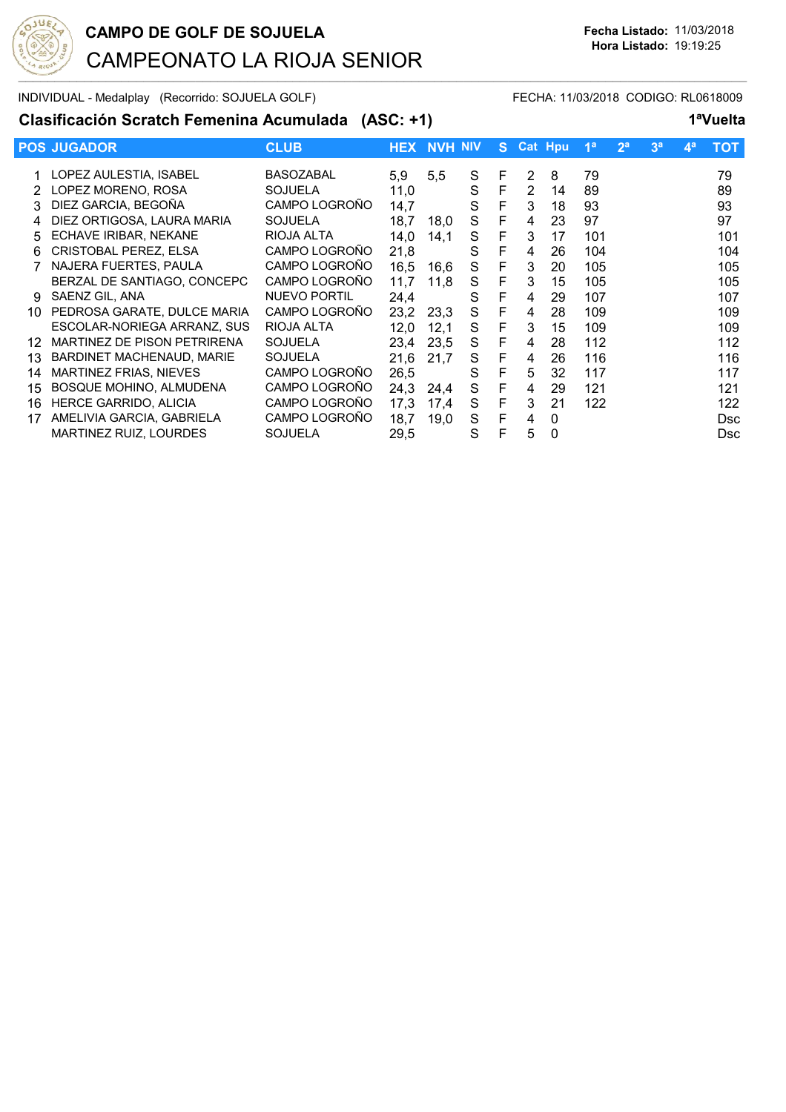

INDIVIDUAL - Medalplay (Recorrido: SOJUELA GOLF) FECHA: 11/03/2018 CODIGO: RL0618009

### **Clasificación Scratch Femenina Acumulada (ASC: +1) 1ªVuelta**

|             | <b>POS JUGADOR</b>            | <b>CLUB</b>      | <b>HEX</b> | <b>NVH NIV</b> |   |   | S Cat Hpu |    | 1 <sup>a</sup> | 2 <sup>a</sup> | 3 <sup>a</sup> | $4^a$ | тот        |
|-------------|-------------------------------|------------------|------------|----------------|---|---|-----------|----|----------------|----------------|----------------|-------|------------|
| 1.          | LOPEZ AULESTIA, ISABEL        | <b>BASOZABAL</b> | 5,9        | 5,5            | S | F | 2         | 8  | 79             |                |                |       | 79         |
|             | LOPEZ MORENO, ROSA            | <b>SOJUELA</b>   | 11,0       |                | S | F | 2         | 14 | 89             |                |                |       | 89         |
| 3.          | DIEZ GARCIA, BEGOÑA           | CAMPO LOGROÑO    | 14,7       |                | S | F | 3         | 18 | 93             |                |                |       | 93         |
| $\mathbf 4$ | DIEZ ORTIGOSA, LAURA MARIA    | <b>SOJUELA</b>   | 18,7       | 18.0           | S | F | 4         | 23 | 97             |                |                |       | 97         |
| 5           | ECHAVE IRIBAR, NEKANE         | RIOJA ALTA       | 14,0       | 14.1           | S | F | 3         | 17 | 101            |                |                |       | 101        |
| 6           | CRISTOBAL PEREZ, ELSA         | CAMPO LOGROÑO    | 21,8       |                | S | F | 4         | 26 | 104            |                |                |       | 104        |
|             | NAJERA FUERTES, PAULA         | CAMPO LOGROÑO    | 16,5       | 16,6           | S | F | 3         | 20 | 105            |                |                |       | 105        |
|             | BERZAL DE SANTIAGO, CONCEPC   | CAMPO LOGROÑO    | 11.7       | 11.8           | S | F | 3         | 15 | 105            |                |                |       | 105        |
| 9           | SAENZ GIL, ANA                | NUEVO PORTIL     | 24,4       |                | S | F | 4         | 29 | 107            |                |                |       | 107        |
| 10          | PEDROSA GARATE, DULCE MARIA   | CAMPO LOGROÑO    | 23,2       | 23,3           | S | F | 4         | 28 | 109            |                |                |       | 109        |
|             | ESCOLAR-NORIEGA ARRANZ, SUS   | RIOJA ALTA       | 12,0       | 12,1           | S | F | 3         | 15 | 109            |                |                |       | 109        |
| 12          | MARTINEZ DE PISON PETRIRENA   | <b>SOJUELA</b>   | 23,4       | 23,5           | S | F | 4         | 28 | 112            |                |                |       | 112        |
| 13          | BARDINET MACHENAUD, MARIE     | <b>SOJUELA</b>   | 21,6       | 21,7           | S | F | 4         | 26 | 116            |                |                |       | 116        |
| 14          | MARTINEZ FRIAS, NIEVES        | CAMPO LOGROÑO    | 26,5       |                | S | F | 5         | 32 | 117            |                |                |       | 117        |
| 15          | BOSQUE MOHINO, ALMUDENA       | CAMPO LOGROÑO    | 24,3       | 24.4           | S | F | 4         | 29 | 121            |                |                |       | 121        |
| 16          | HERCE GARRIDO, ALICIA         | CAMPO LOGROÑO    | 17,3       | 17.4           | S | F | 3         | 21 | 122            |                |                |       | 122        |
| 17          | AMELIVIA GARCIA, GABRIELA     | CAMPO LOGROÑO    | 18,7       | 19,0           | S | F | 4         | 0  |                |                |                |       | <b>Dsc</b> |
|             | <b>MARTINEZ RUIZ, LOURDES</b> | <b>SOJUELA</b>   | 29,5       |                | S | F | 5         | 0  |                |                |                |       | <b>Dsc</b> |
|             |                               |                  |            |                |   |   |           |    |                |                |                |       |            |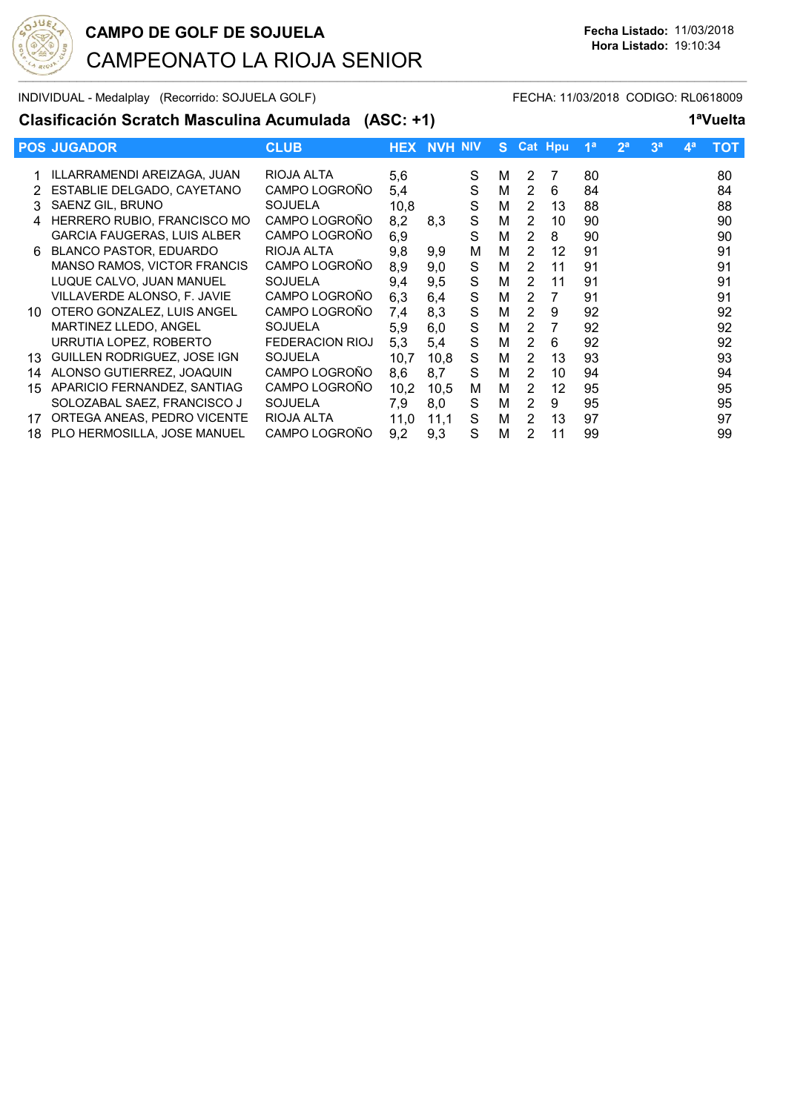

INDIVIDUAL - Medalplay (Recorrido: SOJUELA GOLF) FECHA: 11/03/2018 CODIGO: RL0618009

### **Clasificación Scratch Masculina Acumulada (ASC: +1) 1ªVuelta**

|     | <b>POS JUGADOR</b>                 | <b>CLUB</b>            | <b>HEX</b> | <b>NVH NIV</b> |   |   |                | S Cat Hpu      | 1 <sup>a</sup> | 2 <sup>a</sup> | 3 <sup>a</sup> | $4^a$ | тот |
|-----|------------------------------------|------------------------|------------|----------------|---|---|----------------|----------------|----------------|----------------|----------------|-------|-----|
|     | ILLARRAMENDI AREIZAGA, JUAN        | RIOJA ALTA             | 5,6        |                | S | м | 2              | 7              | 80             |                |                |       | 80  |
|     | ESTABLIE DELGADO, CAYETANO         | CAMPO LOGROÑO          | 5,4        |                | S | м | 2              | 6              | 84             |                |                |       | 84  |
| 3   | SAENZ GIL, BRUNO                   | <b>SOJUELA</b>         | 10,8       |                | S | M | 2              | 13             | 88             |                |                |       | 88  |
| 4   | HERRERO RUBIO, FRANCISCO MO        | CAMPO LOGROÑO          | 8,2        | 8,3            | S | M | $\overline{2}$ | 10             | 90             |                |                |       | 90  |
|     | <b>GARCIA FAUGERAS, LUIS ALBER</b> | CAMPO LOGROÑO          | 6,9        |                | S | м | $\overline{2}$ | 8              | 90             |                |                |       | 90  |
| 6   | <b>BLANCO PASTOR, EDUARDO</b>      | RIOJA ALTA             | 9,8        | 9,9            | M | M | 2              | 12             | 91             |                |                |       | 91  |
|     | <b>MANSO RAMOS, VICTOR FRANCIS</b> | CAMPO LOGROÑO          | 8,9        | 9,0            | S | м | 2              | 11             | 91             |                |                |       | 91  |
|     | LUQUE CALVO, JUAN MANUEL           | <b>SOJUELA</b>         | 9,4        | 9,5            | S | M | 2              | 11             | 91             |                |                |       | 91  |
|     | VILLAVERDE ALONSO, F. JAVIE        | CAMPO LOGROÑO          | 6,3        | 6,4            | S | M | 2              | $\overline{7}$ | 91             |                |                |       | 91  |
| 10. | OTERO GONZALEZ, LUIS ANGEL         | CAMPO LOGROÑO          | 7,4        | 8,3            | S | M | $\overline{2}$ | 9              | 92             |                |                |       | 92  |
|     | MARTINEZ LLEDO, ANGEL              | <b>SOJUELA</b>         | 5,9        | 6,0            | S | м | 2              | 7              | 92             |                |                |       | 92  |
|     | URRUTIA LOPEZ, ROBERTO             | <b>FEDERACION RIOJ</b> | 5,3        | 5,4            | S | M | 2              | 6              | 92             |                |                |       | 92  |
| 13. | GUILLEN RODRIGUEZ, JOSE IGN        | <b>SOJUELA</b>         | 10.7       | 10.8           | S | м | 2              | 13             | 93             |                |                |       | 93  |
| 14  | ALONSO GUTIERREZ, JOAQUIN          | CAMPO LOGROÑO          | 8,6        | 8.7            | S | M | 2              | 10             | 94             |                |                |       | 94  |
| 15  | APARICIO FERNANDEZ, SANTIAG        | CAMPO LOGROÑO          | 10,2       | 10,5           | м | M | 2              | 12             | 95             |                |                |       | 95  |
|     | SOLOZABAL SAEZ, FRANCISCO J        | <b>SOJUELA</b>         | 7,9        | 8,0            | S | м | 2              | 9              | 95             |                |                |       | 95  |
| 17  | ORTEGA ANEAS, PEDRO VICENTE        | RIOJA ALTA             | 11,0       | 11,1           | S | M | $\overline{2}$ | 13             | 97             |                |                |       | 97  |
| 18  | PLO HERMOSILLA, JOSE MANUEL        | CAMPO LOGROÑO          | 9,2        | 9,3            | S | M | 2              | 11             | 99             |                |                |       | 99  |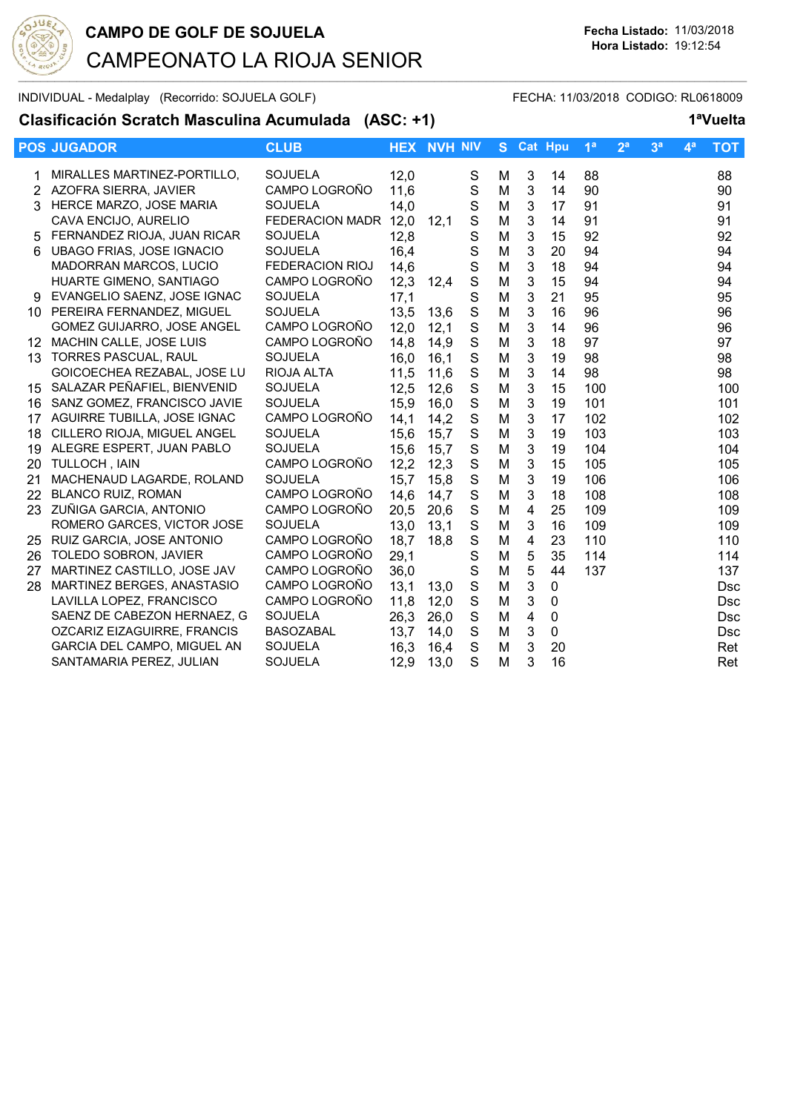

INDIVIDUAL - Medalplay (Recorrido: SOJUELA GOLF) FECHA: 11/03/2018 CODIGO: RL0618009

**Clasificación Scratch Masculina Acumulada (ASC: +1) 1ªVuelta**

|    | <b>POS JUGADOR</b>               | <b>CLUB</b>            |      | <b>HEX NVH NIV</b> |             | S. |                | <b>Cat Hpu</b> | 1 <sup>a</sup> | 2 <sup>a</sup> | 3 <sup>a</sup> | 4 <sup>a</sup> | ТОТ        |
|----|----------------------------------|------------------------|------|--------------------|-------------|----|----------------|----------------|----------------|----------------|----------------|----------------|------------|
|    | MIRALLES MARTINEZ-PORTILLO,      | <b>SOJUELA</b>         | 12,0 |                    | S           | M  | 3              | 14             | 88             |                |                |                | 88         |
| 2  | AZOFRA SIERRA, JAVIER            | CAMPO LOGROÑO          | 11,6 |                    | S           | M  | 3              | 14             | 90             |                |                |                | 90         |
|    | HERCE MARZO, JOSE MARIA          | SOJUELA                | 14,0 |                    | S           | M  | 3              | 17             | 91             |                |                |                | 91         |
|    | CAVA ENCIJO, AURELIO             | FEDERACION MADR 12,0   |      | 12,1               | S           | M  | 3              | 14             | 91             |                |                |                | 91         |
| 5. | FERNANDEZ RIOJA, JUAN RICAR      | <b>SOJUELA</b>         | 12,8 |                    | S           | M  | $\mathbf{3}$   | 15             | 92             |                |                |                | 92         |
| 6  | <b>UBAGO FRIAS, JOSE IGNACIO</b> | SOJUELA                | 16,4 |                    | S           | M  | $\mathbf{3}$   | 20             | 94             |                |                |                | 94         |
|    | MADORRAN MARCOS, LUCIO           | <b>FEDERACION RIOJ</b> | 14,6 |                    | S           | M  | $\mathbf{3}$   | 18             | 94             |                |                |                | 94         |
|    | HUARTE GIMENO, SANTIAGO          | CAMPO LOGROÑO          | 12,3 | 12,4               | S           | M  | 3              | 15             | 94             |                |                |                | 94         |
|    | EVANGELIO SAENZ, JOSE IGNAC      | <b>SOJUELA</b>         | 17,1 |                    | S           | M  | 3              | 21             | 95             |                |                |                | 95         |
|    | 10 PEREIRA FERNANDEZ, MIGUEL     | <b>SOJUELA</b>         | 13,5 | 13,6               | $\mathbf S$ | M  | 3              | 16             | 96             |                |                |                | 96         |
|    | GOMEZ GUIJARRO, JOSE ANGEL       | CAMPO LOGROÑO          | 12,0 | 12,1               | S           | M  | 3              | 14             | 96             |                |                |                | 96         |
| 12 | MACHIN CALLE, JOSE LUIS          | CAMPO LOGROÑO          | 14,8 | 14,9               | $\mathbf S$ | M  | 3              | 18             | 97             |                |                |                | 97         |
| 13 | <b>TORRES PASCUAL, RAUL</b>      | <b>SOJUELA</b>         | 16,0 | 16,1               | $\mathbf S$ | M  | 3              | 19             | 98             |                |                |                | 98         |
|    | GOICOECHEA REZABAL, JOSE LU      | RIOJA ALTA             | 11,5 | 11,6               | $\mathbf S$ | M  | 3              | 14             | 98             |                |                |                | 98         |
| 15 | SALAZAR PEÑAFIEL, BIENVENID      | <b>SOJUELA</b>         | 12,5 | 12,6               | $\mathbf S$ | M  | $\mathbf{3}$   | 15             | 100            |                |                |                | 100        |
| 16 | SANZ GOMEZ, FRANCISCO JAVIE      | <b>SOJUELA</b>         | 15,9 | 16,0               | $\mathbf S$ | M  | $\mathbf{3}$   | 19             | 101            |                |                |                | 101        |
| 17 | AGUIRRE TUBILLA, JOSE IGNAC      | CAMPO LOGROÑO          | 14,1 | 14,2               | S           | M  | $\mathbf{3}$   | 17             | 102            |                |                |                | 102        |
| 18 | CILLERO RIOJA, MIGUEL ANGEL      | SOJUELA                | 15,6 | 15,7               | S           | M  | $\mathbf{3}$   | 19             | 103            |                |                |                | 103        |
| 19 | ALEGRE ESPERT, JUAN PABLO        | <b>SOJUELA</b>         | 15,6 | 15,7               | S           | M  | 3              | 19             | 104            |                |                |                | 104        |
| 20 | <b>TULLOCH, IAIN</b>             | CAMPO LOGROÑO          | 12,2 | 12,3               | S           | M  | 3              | 15             | 105            |                |                |                | 105        |
| 21 | MACHENAUD LAGARDE, ROLAND        | <b>SOJUELA</b>         | 15,7 | 15,8               | $\mathbf S$ | M  | 3              | 19             | 106            |                |                |                | 106        |
| 22 | <b>BLANCO RUIZ, ROMAN</b>        | CAMPO LOGROÑO          | 14,6 | 14,7               | $\mathbf S$ | M  | 3              | 18             | 108            |                |                |                | 108        |
| 23 | ZUÑIGA GARCIA, ANTONIO           | CAMPO LOGROÑO          | 20,5 | 20,6               | $\mathbf S$ | M  | $\overline{4}$ | 25             | 109            |                |                |                | 109        |
|    | ROMERO GARCES, VICTOR JOSE       | <b>SOJUELA</b>         | 13,0 | 13,1               | $\mathbf S$ | M  | 3              | 16             | 109            |                |                |                | 109        |
|    | 25 RUIZ GARCIA, JOSE ANTONIO     | CAMPO LOGROÑO          | 18,7 | 18,8               | $\mathbf S$ | M  | $\overline{4}$ | 23             | 110            |                |                |                | 110        |
|    | 26 TOLEDO SOBRON, JAVIER         | CAMPO LOGROÑO          | 29,1 |                    | S           | M  | $\sqrt{5}$     | 35             | 114            |                |                |                | 114        |
| 27 | MARTINEZ CASTILLO, JOSE JAV      | CAMPO LOGROÑO          | 36,0 |                    | S           | M  | 5              | 44             | 137            |                |                |                | 137        |
| 28 | MARTINEZ BERGES, ANASTASIO       | CAMPO LOGROÑO          | 13,1 | 13,0               | S           | M  | 3              | 0              |                |                |                |                | <b>Dsc</b> |
|    | LAVILLA LOPEZ, FRANCISCO         | CAMPO LOGROÑO          | 11,8 | 12,0               | S           | M  | 3              | $\mathbf 0$    |                |                |                |                | Dsc        |
|    | SAENZ DE CABEZON HERNAEZ, G      | <b>SOJUELA</b>         | 26,3 | 26,0               | S           | M  | $\overline{4}$ | $\mathbf 0$    |                |                |                |                | Dsc        |
|    | OZCARIZ EIZAGUIRRE, FRANCIS      | <b>BASOZABAL</b>       | 13,7 | 14,0               | S           | M  | 3              | $\mathbf 0$    |                |                |                |                | Dsc        |
|    | GARCIA DEL CAMPO, MIGUEL AN      | SOJUELA                | 16,3 | 16,4               | $\mathbf S$ | M  | 3              | 20             |                |                |                |                | Ret        |
|    | SANTAMARIA PEREZ, JULIAN         | SOJUELA                | 12,9 | 13,0               | S           | M  | 3              | 16             |                |                |                |                | Ret        |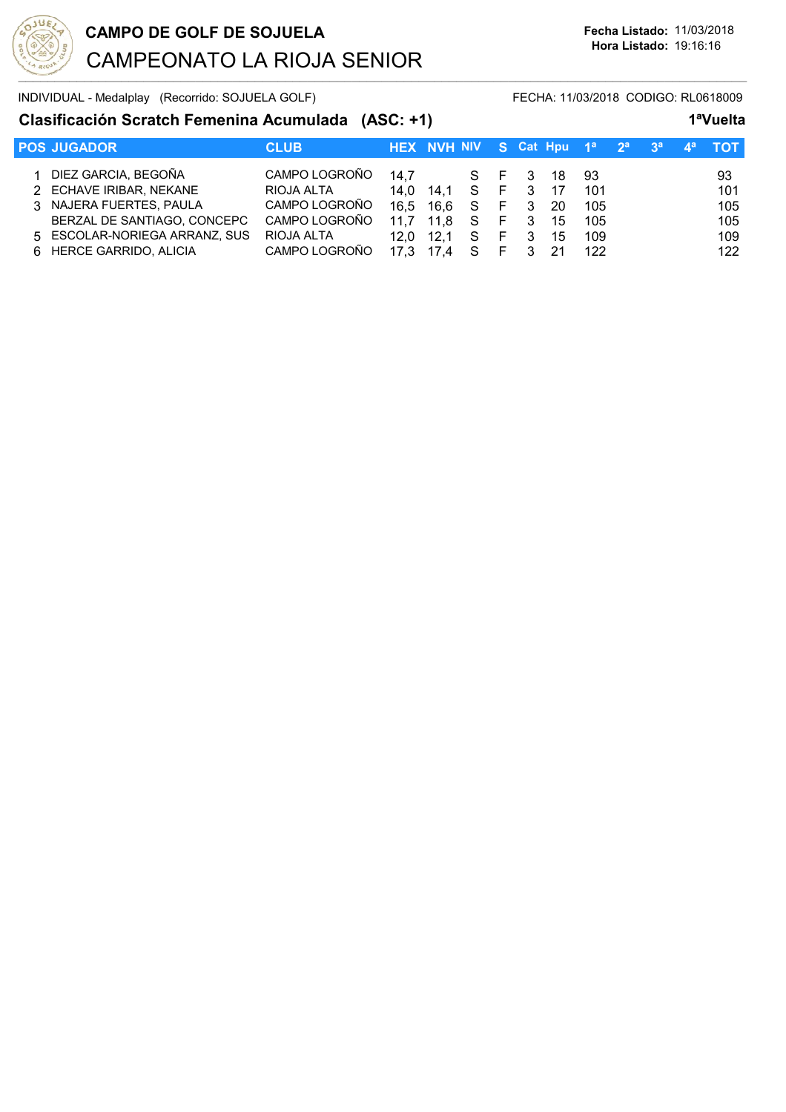

INDIVIDUAL - Medalplay (Recorrido: SOJUELA GOLF) FI

### **Clasificación Scratch Femenina Acumulada (ASC: +1) 1ªVuelta**

| <b>POS JUGADOR</b>            | <b>CLUB</b>   |      | HEX NVH NIV S Cat Hpu 1 <sup>a</sup> 2 <sup>a</sup> 3 <sup>a</sup> |       |    |                |     |     |  | тот |
|-------------------------------|---------------|------|--------------------------------------------------------------------|-------|----|----------------|-----|-----|--|-----|
| 1 DIEZ GARCIA, BEGOÑA         | CAMPO LOGROÑO | 14.7 |                                                                    | S F 3 |    |                | -18 | 93  |  | 93  |
| 2 ECHAVE IRIBAR, NEKANE       | RIOJA ALTA    | 14.0 | 14.1 S F 3                                                         |       |    |                | 17  | 101 |  | 101 |
| 3 NAJERA FUERTES, PAULA       | CAMPO LOGROÑO | 16.5 | 16,6 S                                                             |       | F  | - 3            | -20 | 105 |  | 105 |
| BERZAL DE SANTIAGO, CONCEPC   | CAMPO LOGROÑO |      | 11,8                                                               | - S   | F  | $\overline{3}$ | 15  | 105 |  | 105 |
| 5 ESCOLAR-NORIEGA ARRANZ, SUS | RIOJA ALTA    | 12.0 | 12.1                                                               | -S    | F. | -3             | 15  | 109 |  | 109 |
| 6 HERCE GARRIDO, ALICIA       | CAMPO LOGROÑO |      |                                                                    | S     |    |                | 21  | 122 |  | 122 |